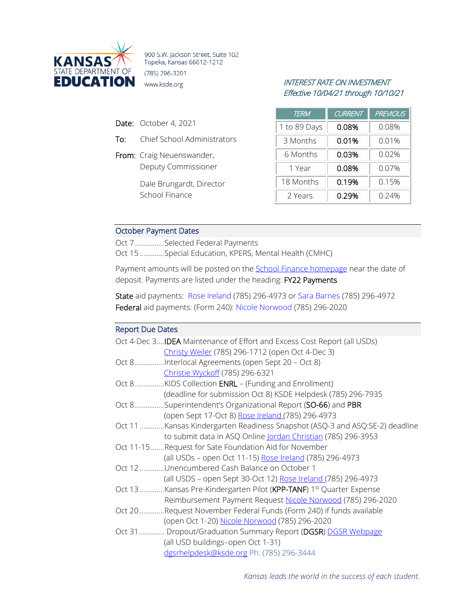

900 S.W. Jackson Street, Suite 102 Topeka, Kansas 66612-1212 (785) 296-3201 **EDUCATION** www.ksde.org *INTEREST RATE ON INVESTMENT* 

- Date: October 4, 2021
- To: Chief School Administrators
- From: Craig Neuenswander, Deputy Commissioner

Dale Brungardt, Director School Finance

# Effective 10/04/21 through 10/10/21

| TERM         | <b>CURRENT</b> | <b>PREVIOUS</b> |
|--------------|----------------|-----------------|
| 1 to 89 Days | 0.08%          | 0.08%           |
| 3 Months     | 0.01%          | 0.01%           |
| 6 Months     | 0.03%          | 0.02%           |
| 1 Year       | 0.08%          | $0.07\%$        |
| 18 Months    | 0.19%          | 0.15%           |
| 2 Years      | 0.29%          | 0.24%           |

#### October Payment Dates

Oct 7................Selected Federal Payments

Oct 15 .............Special Education, KPERS, Mental Health (CMHC)

Payment amounts will be posted on the **School Finance homepage** near the date of deposit. Payments are listed under the heading: FY22 Payments

State aid payments: [Rose Ireland](mailto:rireland@ksde.org) (785) 296-4973 or [Sara Barnes](mailto:sbarnes@ksde.org) (785) 296-4972 Federal aid payments: (Form 240): [Nicole Norwood](mailto:nnorwood@ksde.org) (785) 296-2020

#### Report Due Dates

| Oct 4-Dec 3 <b>IDEA</b> Maintenance of Effort and Excess Cost Report (all USDs) |
|---------------------------------------------------------------------------------|
| Christy Weiler (785) 296-1712 (open Oct 4-Dec 3)                                |
| Oct 8Interlocal Agreements (open Sept 20 - Oct 8)                               |
| Christie Wyckoff (785) 296-6321                                                 |
| Oct 8KIDS Collection ENRL - (Funding and Enrollment)                            |
| (deadline for submission Oct 8) KSDE Helpdesk (785) 296-7935                    |
| Oct 8Superintendent's Organizational Report (SO-66) and PBR                     |
| (open Sept 17-Oct 8) Rose Ireland (785) 296-4973                                |
| Oct 11 Kansas Kindergarten Readiness Snapshot (ASQ-3 and ASQ:SE-2) deadline     |
| to submit data in ASQ Online Jordan Christian (785) 296-3953                    |
| Oct 11-15 Request for Sate Foundation Aid for November                          |
| (all USDs - open Oct 11-15) Rose Ireland (785) 296-4973                         |
| Oct 12 Unencumbered Cash Balance on October 1                                   |
| (all USDS - open Sept 30-Oct 12) Rose Ireland (785) 296-4973                    |
| Oct 13 Kansas Pre-Kindergarten Pilot (KPP-TANF) 1 <sup>st</sup> Quarter Expense |
| Reimbursement Payment Request Nicole Norwood (785) 296-2020                     |
| Oct 20 Request November Federal Funds (Form 240) if funds available             |
| (open Oct 1-20) Nicole Norwood (785) 296-2020                                   |
| Oct 31 Dropout/Graduation Summary Report (DGSR) DGSR Webpage                    |
| (all USD buildings-open Oct 1-31)                                               |
| dgsrhelpdesk@ksde.org Ph: (785) 296-3444                                        |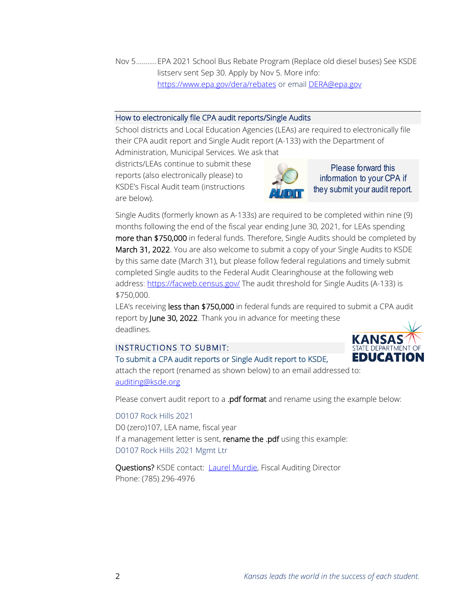Nov 5...........EPA 2021 School Bus Rebate Program (Replace old diesel buses) See KSDE listserv sent Sep 30. Apply by Nov 5. More info: <https://www.epa.gov/dera/rebates> or email [DERA@epa.gov](mailto:DERA@epa.gov) 

#### How to electronically file CPA audit reports/Single Audits

School districts and Local Education Agencies (LEAs) are required to electronically file their CPA audit report and Single Audit report (A-133) with the Department of Administration, Municipal Services. We ask that

districts/LEAs continue to submit these reports (also electronically please) to KSDE's Fiscal Audit team (instructions

are below).



Please forward this information to your CPA if they submit your audit report.

Single Audits (formerly known as A-133s) are required to be completed within nine (9) months following the end of the fiscal year ending June 30, 2021, for LEAs spending more than \$750,000 in federal funds. Therefore, Single Audits should be completed by March 31, 2022. You are also welcome to submit a copy of your Single Audits to KSDE by this same date (March 31), but please follow federal regulations and timely submit completed Single audits to the Federal Audit Clearinghouse at the following web address:<https://facweb.census.gov/> The audit threshold for Single Audits (A-133) is \$750,000.

LEA's receiving less than \$750,000 in federal funds are required to submit a CPA audit report by June 30, 2022. Thank you in advance for meeting these deadlines.

## INSTRUCTIONS TO SUBMIT:

### To submit a CPA audit reports or Single Audit report to KSDE,



attach the report (renamed as shown below) to an email addressed to: [auditing@ksde.org](mailto:auditing@ksde.org)

Please convert audit report to a .pdf format and rename using the example below:

D0107 Rock Hills 2021 D0 (zero)107, LEA name, fiscal year If a management letter is sent, rename the .pdf using this example: D0107 Rock Hills 2021 Mgmt Ltr

Questions? KSDE contact: [Laurel Murdie,](mailto:lmurdie@ksde.org) Fiscal Auditing Director Phone: (785) 296-4976